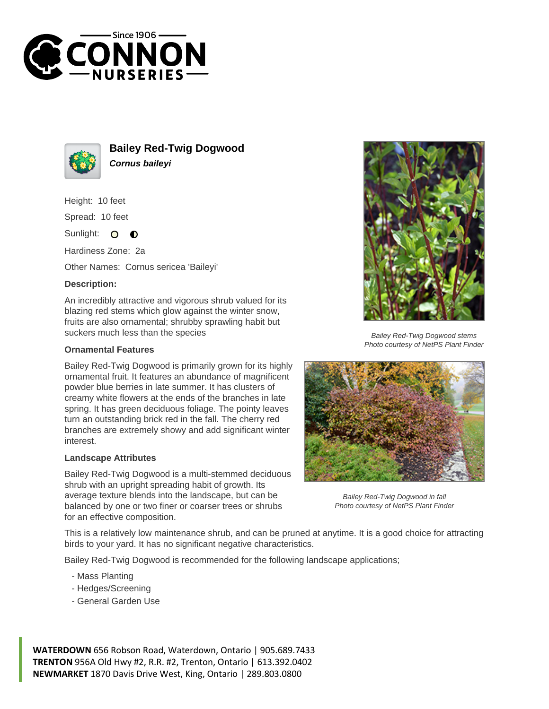



**Bailey Red-Twig Dogwood Cornus baileyi**

Height: 10 feet

Spread: 10 feet

Sunlight:  $\mathbf{O}$  $\bullet$ 

Hardiness Zone: 2a

Other Names: Cornus sericea 'Baileyi'

## **Description:**

An incredibly attractive and vigorous shrub valued for its blazing red stems which glow against the winter snow, fruits are also ornamental; shrubby sprawling habit but suckers much less than the species

## **Ornamental Features**

Bailey Red-Twig Dogwood is primarily grown for its highly ornamental fruit. It features an abundance of magnificent powder blue berries in late summer. It has clusters of creamy white flowers at the ends of the branches in late spring. It has green deciduous foliage. The pointy leaves turn an outstanding brick red in the fall. The cherry red branches are extremely showy and add significant winter interest.

## **Landscape Attributes**

Bailey Red-Twig Dogwood is a multi-stemmed deciduous shrub with an upright spreading habit of growth. Its average texture blends into the landscape, but can be balanced by one or two finer or coarser trees or shrubs for an effective composition.



Bailey Red-Twig Dogwood stems Photo courtesy of NetPS Plant Finder



Bailey Red-Twig Dogwood in fall Photo courtesy of NetPS Plant Finder

This is a relatively low maintenance shrub, and can be pruned at anytime. It is a good choice for attracting birds to your yard. It has no significant negative characteristics.

Bailey Red-Twig Dogwood is recommended for the following landscape applications;

- Mass Planting
- Hedges/Screening
- General Garden Use

**WATERDOWN** 656 Robson Road, Waterdown, Ontario | 905.689.7433 **TRENTON** 956A Old Hwy #2, R.R. #2, Trenton, Ontario | 613.392.0402 **NEWMARKET** 1870 Davis Drive West, King, Ontario | 289.803.0800